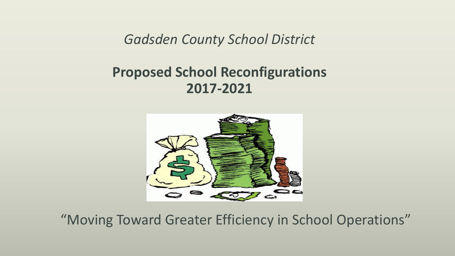*Gadsden County School District*

# **Proposed School Reconfigurations 2017-2021**



"Moving Toward Greater Efficiency in School Operations"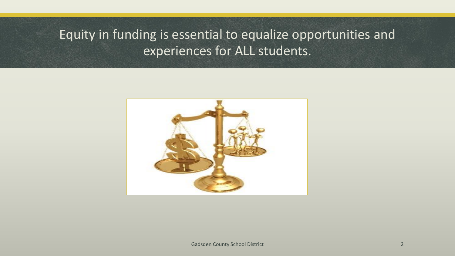# Equity in funding is essential to equalize opportunities and experiences for ALL students.

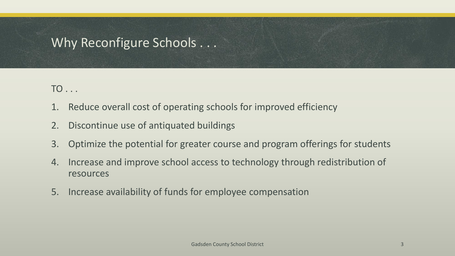### Why Reconfigure Schools . . .

TO . . .

- 1. Reduce overall cost of operating schools for improved efficiency
- 2. Discontinue use of antiquated buildings
- 3. Optimize the potential for greater course and program offerings for students
- 4. Increase and improve school access to technology through redistribution of resources
- 5. Increase availability of funds for employee compensation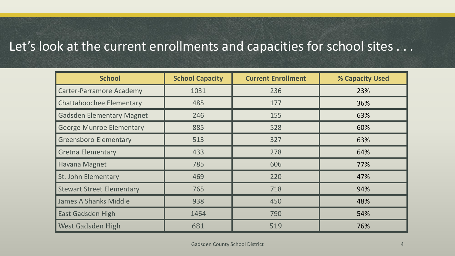#### Let's look at the current enrollments and capacities for school sites . . .

| <b>School</b>                    | <b>School Capacity</b> | <b>Current Enrollment</b> | % Capacity Used |
|----------------------------------|------------------------|---------------------------|-----------------|
| <b>Carter-Parramore Academy</b>  | 1031                   | 236                       | 23%             |
| <b>Chattahoochee Elementary</b>  | 485                    | 177                       | 36%             |
| <b>Gadsden Elementary Magnet</b> | 246                    | 155                       | 63%             |
| <b>George Munroe Elementary</b>  | 885                    | 528                       | 60%             |
| <b>Greensboro Elementary</b>     | 513                    | 327                       | 63%             |
| <b>Gretna Elementary</b>         | 433                    | 278                       | 64%             |
| Havana Magnet                    | 785                    | 606                       | 77%             |
| St. John Elementary              | 469                    | 220                       | 47%             |
| <b>Stewart Street Elementary</b> | 765                    | 718                       | 94%             |
| James A Shanks Middle            | 938                    | 450                       | 48%             |
| <b>East Gadsden High</b>         | 1464                   | 790                       | 54%             |
| West Gadsden High                | 681                    | 519                       | 76%             |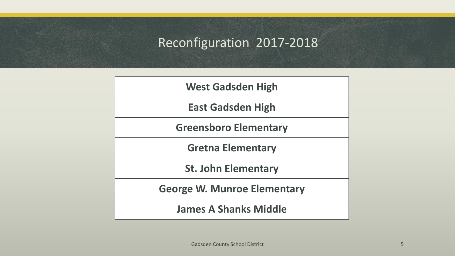# Reconfiguration 2017-2018

| <b>West Gadsden High</b>           |
|------------------------------------|
| <b>East Gadsden High</b>           |
| <b>Greensboro Elementary</b>       |
| <b>Gretna Elementary</b>           |
| <b>St. John Elementary</b>         |
| <b>George W. Munroe Elementary</b> |
| <b>James A Shanks Middle</b>       |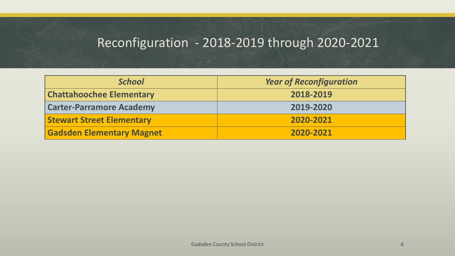### Reconfiguration - 2018-2019 through 2020-2021

| <b>School</b>                    | <b>Year of Reconfiguration</b> |
|----------------------------------|--------------------------------|
| <b>Chattahoochee Elementary</b>  | 2018-2019                      |
| <b>Carter-Parramore Academy</b>  | 2019-2020                      |
| <b>Stewart Street Elementary</b> | 2020-2021                      |
| <b>Gadsden Elementary Magnet</b> | 2020-2021                      |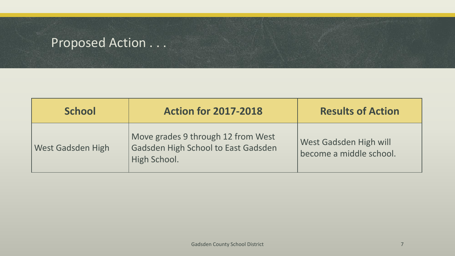| <b>School</b>            | <b>Action for 2017-2018</b>                                                               | <b>Results of Action</b>                          |
|--------------------------|-------------------------------------------------------------------------------------------|---------------------------------------------------|
| <b>West Gadsden High</b> | Move grades 9 through 12 from West<br>Gadsden High School to East Gadsden<br>High School. | West Gadsden High will<br>become a middle school. |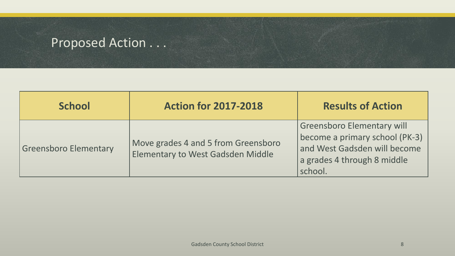| <b>School</b>                | <b>Action for 2017-2018</b>                                                     | <b>Results of Action</b>                                                                                                                      |
|------------------------------|---------------------------------------------------------------------------------|-----------------------------------------------------------------------------------------------------------------------------------------------|
| <b>Greensboro Elementary</b> | Move grades 4 and 5 from Greensboro<br><b>Elementary to West Gadsden Middle</b> | <b>Greensboro Elementary will</b><br>become a primary school (PK-3)<br>and West Gadsden will become<br>a grades 4 through 8 middle<br>school. |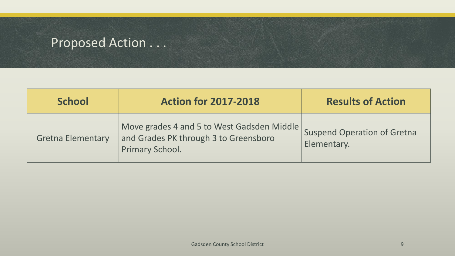| <b>School</b>            | <b>Action for 2017-2018</b>                                                                            | <b>Results of Action</b>                          |
|--------------------------|--------------------------------------------------------------------------------------------------------|---------------------------------------------------|
| <b>Gretna Elementary</b> | Move grades 4 and 5 to West Gadsden Middle<br>and Grades PK through 3 to Greensboro<br>Primary School. | <b>Suspend Operation of Gretna</b><br>Elementary. |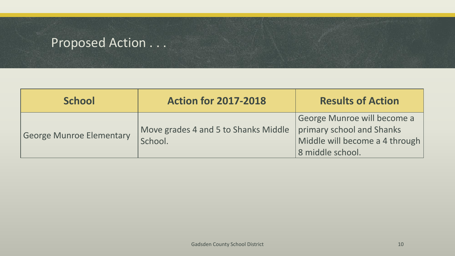| <b>School</b>                   | <b>Action for 2017-2018</b>                     | <b>Results of Action</b>                                                                                       |
|---------------------------------|-------------------------------------------------|----------------------------------------------------------------------------------------------------------------|
| <b>George Munroe Elementary</b> | Move grades 4 and 5 to Shanks Middle<br>School. | George Munroe will become a<br>primary school and Shanks<br>Middle will become a 4 through<br>8 middle school. |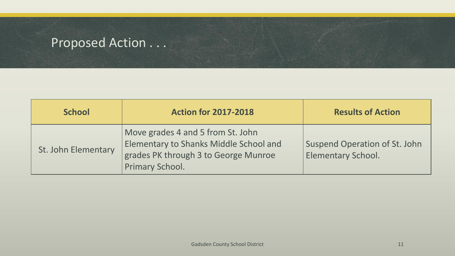| <b>School</b>       | <b>Action for 2017-2018</b>                                                                                                                   | <b>Results of Action</b>                                   |
|---------------------|-----------------------------------------------------------------------------------------------------------------------------------------------|------------------------------------------------------------|
| St. John Elementary | Move grades 4 and 5 from St. John<br><b>Elementary to Shanks Middle School and</b><br>grades PK through 3 to George Munroe<br>Primary School. | Suspend Operation of St. John<br><b>Elementary School.</b> |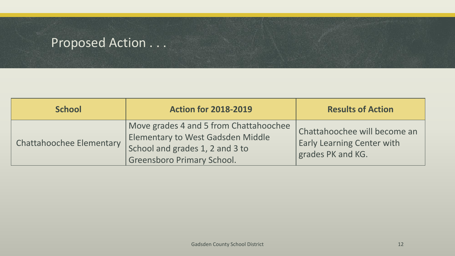| <b>School</b>                   | <b>Action for 2018-2019</b>                                                                                                                         | <b>Results of Action</b>                                                               |
|---------------------------------|-----------------------------------------------------------------------------------------------------------------------------------------------------|----------------------------------------------------------------------------------------|
| <b>Chattahoochee Elementary</b> | Move grades 4 and 5 from Chattahoochee<br>Elementary to West Gadsden Middle<br>School and grades 1, 2 and 3 to<br><b>Greensboro Primary School.</b> | Chattahoochee will become an<br><b>Early Learning Center with</b><br>grades PK and KG. |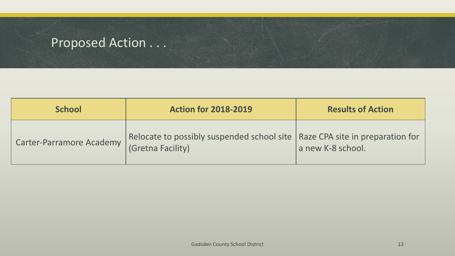| <b>School</b>            | <b>Action for 2018-2019</b>                                                                        | <b>Results of Action</b> |
|--------------------------|----------------------------------------------------------------------------------------------------|--------------------------|
| Carter-Parramore Academy | Relocate to possibly suspended school site   Raze CPA site in preparation for<br>(Gretna Facility) | a new K-8 school.        |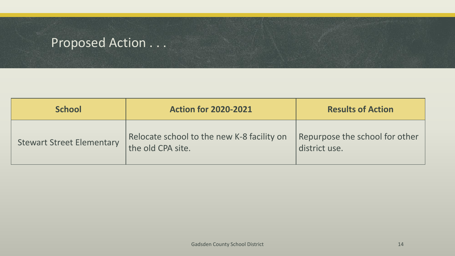| <b>School</b>                    | <b>Action for 2020-2021</b>                                     | <b>Results of Action</b>                        |
|----------------------------------|-----------------------------------------------------------------|-------------------------------------------------|
| <b>Stewart Street Elementary</b> | Relocate school to the new K-8 facility on<br>the old CPA site. | Repurpose the school for other<br>district use. |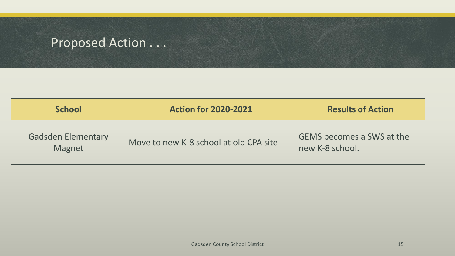| <b>School</b>                       | <b>Action for 2020-2021</b>            | <b>Results of Action</b>                            |
|-------------------------------------|----------------------------------------|-----------------------------------------------------|
| <b>Gadsden Elementary</b><br>Magnet | Move to new K-8 school at old CPA site | <b>GEMS becomes a SWS at the</b><br>new K-8 school. |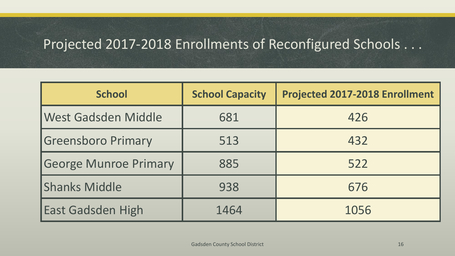# Projected 2017-2018 Enrollments of Reconfigured Schools . . .

| <b>School</b>                | <b>School Capacity</b> | <b>Projected 2017-2018 Enrollment</b> |
|------------------------------|------------------------|---------------------------------------|
| West Gadsden Middle          | 681                    | 426                                   |
| <b>Greensboro Primary</b>    | 513                    | 432                                   |
| <b>George Munroe Primary</b> | 885                    | 522                                   |
| <b>Shanks Middle</b>         | 938                    | 676                                   |
| <b>East Gadsden High</b>     | 1464                   | 1056                                  |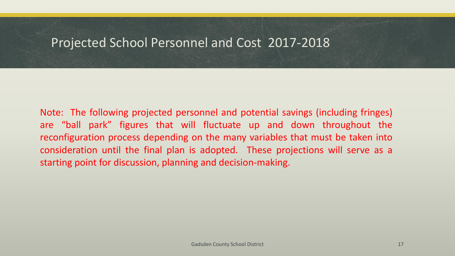#### Projected School Personnel and Cost 2017-2018

Note: The following projected personnel and potential savings (including fringes) are "ball park" figures that will fluctuate up and down throughout the reconfiguration process depending on the many variables that must be taken into consideration until the final plan is adopted. These projections will serve as a starting point for discussion, planning and decision-making.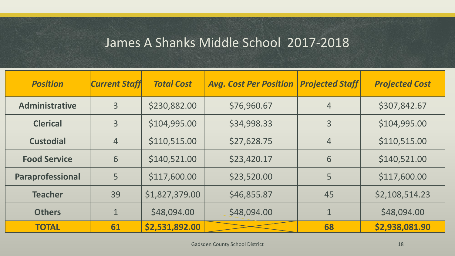#### James A Shanks Middle School 2017-2018

| <b>Position</b>       | <b>Current Staff</b> | <b>Total Cost</b> | <b>Avg. Cost Per Position</b> | <b>Projected Staff</b> | <b>Projected Cost</b> |
|-----------------------|----------------------|-------------------|-------------------------------|------------------------|-----------------------|
| <b>Administrative</b> | $\overline{3}$       | \$230,882.00      | \$76,960.67                   | $\overline{4}$         | \$307,842.67          |
| <b>Clerical</b>       | 3                    | \$104,995.00      | \$34,998.33                   | 3                      | \$104,995.00          |
| <b>Custodial</b>      | $\overline{4}$       | \$110,515.00      | \$27,628.75                   | $\overline{4}$         | \$110,515.00          |
| <b>Food Service</b>   | 6                    | \$140,521.00      | \$23,420.17                   | 6                      | \$140,521.00          |
| Paraprofessional      | 5                    | \$117,600.00      | \$23,520.00                   | 5                      | \$117,600.00          |
| <b>Teacher</b>        | 39                   | \$1,827,379.00    | \$46,855.87                   | 45                     | \$2,108,514.23        |
| <b>Others</b>         | $\mathbf 1$          | \$48,094.00       | \$48,094.00                   |                        | \$48,094.00           |
| <b>TOTAL</b>          | 61                   | \$2,531,892.00    |                               | 68                     | \$2,938,081.90        |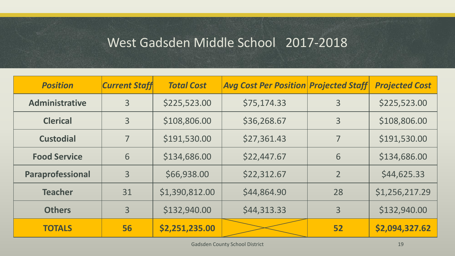#### West Gadsden Middle School 2017-2018

| <b>Position</b>       | <b>Current Staff</b> | <b>Total Cost</b> | <b>Avg Cost Per Position Projected Staff</b> |                | <b>Projected Cost</b> |
|-----------------------|----------------------|-------------------|----------------------------------------------|----------------|-----------------------|
| <b>Administrative</b> | $\overline{3}$       | \$225,523.00      | \$75,174.33                                  | 3              | \$225,523.00          |
| <b>Clerical</b>       | 3                    | \$108,806.00      | \$36,268.67                                  | 3              | \$108,806.00          |
| <b>Custodial</b>      | 7                    | \$191,530.00      | \$27,361.43                                  | 7              | \$191,530.00          |
| <b>Food Service</b>   | 6                    | \$134,686.00      | \$22,447.67                                  | 6              | \$134,686.00          |
| Paraprofessional      | 3                    | \$66,938.00       | \$22,312.67                                  | $\overline{2}$ | \$44,625.33           |
| <b>Teacher</b>        | 31                   | \$1,390,812.00    | \$44,864.90                                  | 28             | \$1,256,217.29        |
| <b>Others</b>         | 3                    | \$132,940.00      | \$44,313.33                                  | 3              | \$132,940.00          |
| <b>TOTALS</b>         | 56                   | \$2,251,235.00    |                                              | 52             | \$2,094,327.62        |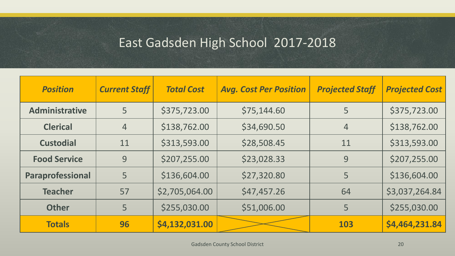# East Gadsden High School 2017-2018

| <b>Position</b>       | <b>Current Staff</b> | <b>Total Cost</b> | <b>Avg. Cost Per Position</b> | <b>Projected Staff</b> | <b>Projected Cost</b> |
|-----------------------|----------------------|-------------------|-------------------------------|------------------------|-----------------------|
| <b>Administrative</b> | 5                    | \$375,723.00      | \$75,144.60                   | 5                      | \$375,723.00          |
| <b>Clerical</b>       | $\overline{4}$       | \$138,762.00      | \$34,690.50                   | $\overline{4}$         | \$138,762.00          |
| <b>Custodial</b>      | 11                   | \$313,593.00      | \$28,508.45                   | 11                     | \$313,593.00          |
| <b>Food Service</b>   | 9                    | \$207,255.00      | \$23,028.33                   | 9                      | \$207,255.00          |
| Paraprofessional      | 5                    | \$136,604.00      | \$27,320.80                   | 5                      | \$136,604.00          |
| <b>Teacher</b>        | 57                   | \$2,705,064.00    | \$47,457.26                   | 64                     | \$3,037,264.84        |
| <b>Other</b>          | 5                    | \$255,030.00      | \$51,006.00                   | 5                      | \$255,030.00          |
| <b>Totals</b>         | 96                   | \$4,132,031.00    |                               | 103                    | \$4,464,231.84        |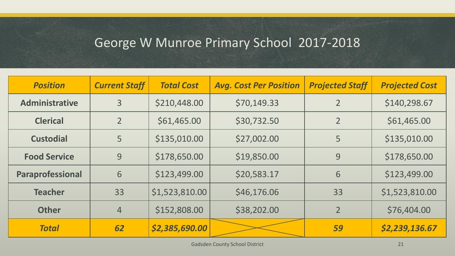# George W Munroe Primary School 2017-2018

| <b>Position</b>       | <b>Current Staff</b> | <b>Total Cost</b> | <b>Avg. Cost Per Position</b> | <b>Projected Staff</b> | <b>Projected Cost</b> |
|-----------------------|----------------------|-------------------|-------------------------------|------------------------|-----------------------|
| <b>Administrative</b> | 3                    | \$210,448.00      | \$70,149.33                   | $\overline{2}$         | \$140,298.67          |
| <b>Clerical</b>       | $\overline{2}$       | \$61,465.00       | \$30,732.50                   | $\overline{2}$         | \$61,465.00           |
| <b>Custodial</b>      | 5                    | \$135,010.00      | \$27,002.00                   | 5                      | \$135,010.00          |
| <b>Food Service</b>   | 9                    | \$178,650.00      | \$19,850.00                   | 9                      | \$178,650.00          |
| Paraprofessional      | 6                    | \$123,499.00      | \$20,583.17                   | 6                      | \$123,499.00          |
| <b>Teacher</b>        | 33                   | \$1,523,810.00    | \$46,176.06                   | 33                     | \$1,523,810.00        |
| <b>Other</b>          | $\overline{4}$       | \$152,808.00      | \$38,202.00                   | $\overline{2}$         | \$76,404.00           |
| <b>Total</b>          | 62                   | \$2,385,690.00    |                               | 59                     | \$2,239,136.67        |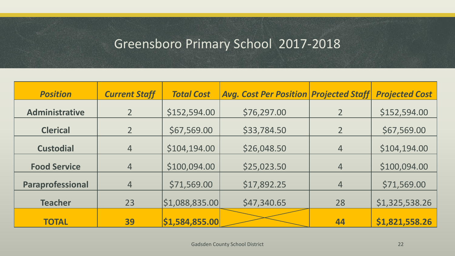### Greensboro Primary School 2017-2018

| <b>Position</b>       | <b>Current Staff</b> | <b>Total Cost</b> | <b>Avg. Cost Per Position Projected Staff</b> |                | <b>Projected Cost</b> |
|-----------------------|----------------------|-------------------|-----------------------------------------------|----------------|-----------------------|
| <b>Administrative</b> | $\overline{2}$       | \$152,594.00      | \$76,297.00                                   |                | \$152,594.00          |
| <b>Clerical</b>       | $\overline{2}$       | \$67,569.00       | \$33,784.50                                   | $\overline{2}$ | \$67,569.00           |
| <b>Custodial</b>      | $\overline{4}$       | \$104,194.00      | \$26,048.50                                   | $\overline{4}$ | \$104,194.00          |
| <b>Food Service</b>   | $\overline{4}$       | \$100,094.00      | \$25,023.50                                   | $\overline{4}$ | \$100,094.00          |
| Paraprofessional      | $\overline{4}$       | \$71,569.00       | \$17,892.25                                   | 4              | \$71,569.00           |
| <b>Teacher</b>        | 23                   | \$1,088,835.00    | \$47,340.65                                   | 28             | \$1,325,538.26        |
| <b>TOTAL</b>          | 39                   | \$1,584,855.00    |                                               | 44             | \$1,821,558.26        |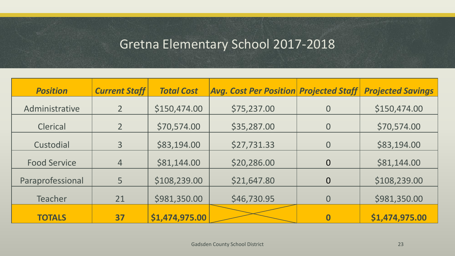### Gretna Elementary School 2017-2018

| <b>Position</b>     | <b>Current Staff</b> | <b>Total Cost</b> | <b>Avg. Cost Per Position Projected Staff</b> |                | <b>Projected Savings</b> |
|---------------------|----------------------|-------------------|-----------------------------------------------|----------------|--------------------------|
| Administrative      |                      | \$150,474.00      | \$75,237.00                                   | $\overline{0}$ | \$150,474.00             |
| <b>Clerical</b>     | $\overline{2}$       | \$70,574.00       | \$35,287.00                                   | $\overline{0}$ | \$70,574.00              |
| Custodial           | 3                    | \$83,194.00       | \$27,731.33                                   | $\overline{0}$ | \$83,194.00              |
| <b>Food Service</b> | $\overline{4}$       | \$81,144.00       | \$20,286.00                                   | $\overline{0}$ | \$81,144.00              |
| Paraprofessional    | 5                    | \$108,239.00      | \$21,647.80                                   | $\overline{0}$ | \$108,239.00             |
| <b>Teacher</b>      | 21                   | \$981,350.00      | \$46,730.95                                   | $\overline{0}$ | \$981,350.00             |
| <b>TOTALS</b>       | 37                   | \$1,474,975.00    |                                               |                | \$1,474,975.00           |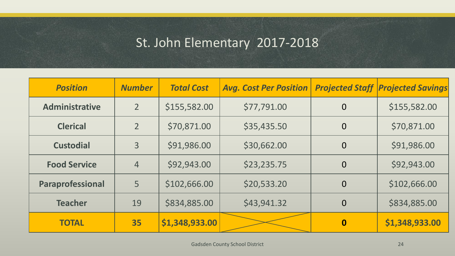# St. John Elementary 2017-2018

| <b>Position</b>       | <b>Number</b>  | <b>Total Cost</b> | <b>Avg. Cost Per Position</b> | <b>Projected Staff</b> | <b>Projected Savings</b> |
|-----------------------|----------------|-------------------|-------------------------------|------------------------|--------------------------|
| <b>Administrative</b> | 2 <sup>1</sup> | \$155,582.00      | \$77,791.00                   | $\overline{0}$         | \$155,582.00             |
| <b>Clerical</b>       | $\overline{2}$ | \$70,871.00       | \$35,435.50                   | $\overline{0}$         | \$70,871.00              |
| <b>Custodial</b>      | 3              | \$91,986.00       | \$30,662.00                   | $\overline{0}$         | \$91,986.00              |
| <b>Food Service</b>   | $\overline{4}$ | \$92,943.00       | \$23,235.75                   | $\overline{0}$         | \$92,943.00              |
| Paraprofessional      | 5              | \$102,666.00      | \$20,533.20                   | $\overline{0}$         | \$102,666.00             |
| <b>Teacher</b>        | 19             | \$834,885.00      | \$43,941.32                   | $\overline{0}$         | \$834,885.00             |
| <b>TOTAL</b>          | 35             | \$1,348,933.00    |                               | $\boldsymbol{0}$       | \$1,348,933.00           |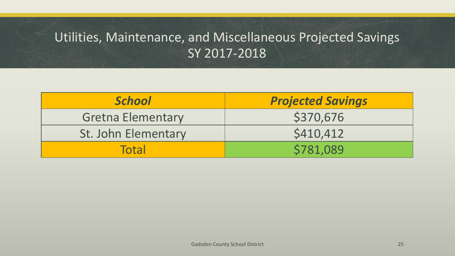# Utilities, Maintenance, and Miscellaneous Projected Savings SY 2017-2018

| <b>School</b>            | <b>Projected Savings</b> |
|--------------------------|--------------------------|
| <b>Gretna Elementary</b> | \$370,676                |
| St. John Elementary      | \$410,412                |
| <b>Total</b>             | \$781,089                |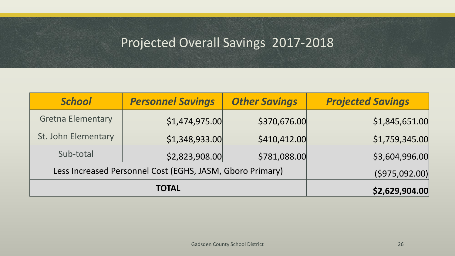# Projected Overall Savings 2017-2018

| <b>School</b>                                             | <b>Personnel Savings</b> | <b>Other Savings</b> | <b>Projected Savings</b> |
|-----------------------------------------------------------|--------------------------|----------------------|--------------------------|
| <b>Gretna Elementary</b>                                  | \$1,474,975.00           | \$370,676.00         | \$1,845,651.00           |
| St. John Elementary                                       | \$1,348,933.00           | \$410,412.00         | \$1,759,345.00           |
| Sub-total                                                 | \$2,823,908.00           | \$781,088.00         | \$3,604,996.00           |
| Less Increased Personnel Cost (EGHS, JASM, Gboro Primary) | (\$975,092.00)           |                      |                          |
|                                                           | \$2,629,904.00           |                      |                          |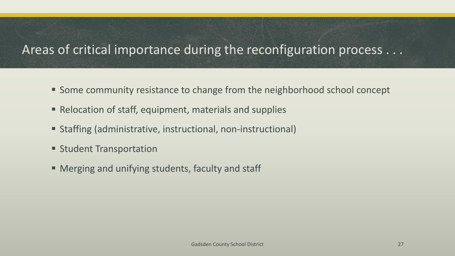### Areas of critical importance during the reconfiguration process . . .

- Some community resistance to change from the neighborhood school concept
- Relocation of staff, equipment, materials and supplies
- Staffing (administrative, instructional, non-instructional)
- **Student Transportation**
- Merging and unifying students, faculty and staff